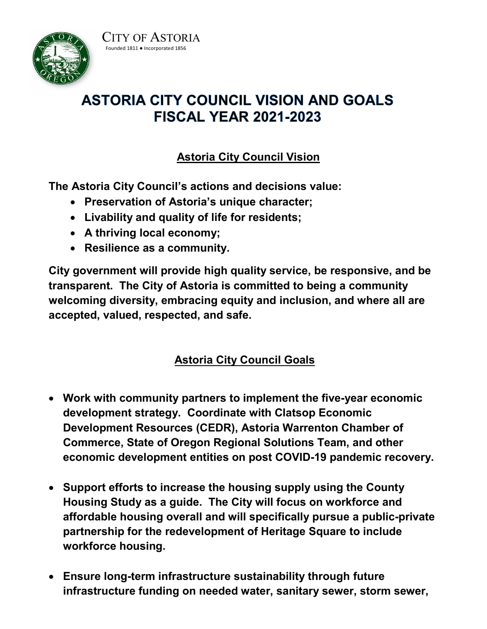



## **ASTORIA CITY COUNCIL VISION AND GOALS FISCAL YEAR 2021-2023**

## **Astoria City Council Vision**

**The Astoria City Council's actions and decisions value:**

- **Preservation of Astoria's unique character;**
- **Livability and quality of life for residents;**
- **A thriving local economy;**
- **Resilience as a community.**

**City government will provide high quality service, be responsive, and be transparent. The City of Astoria is committed to being a community welcoming diversity, embracing equity and inclusion, and where all are accepted, valued, respected, and safe.**

## **Astoria City Council Goals**

- **Work with community partners to implement the five-year economic development strategy. Coordinate with Clatsop Economic Development Resources (CEDR), Astoria Warrenton Chamber of Commerce, State of Oregon Regional Solutions Team, and other economic development entities on post COVID-19 pandemic recovery.**
- **Support efforts to increase the housing supply using the County Housing Study as a guide. The City will focus on workforce and affordable housing overall and will specifically pursue a public-private partnership for the redevelopment of Heritage Square to include workforce housing.**
- **Ensure long-term infrastructure sustainability through future infrastructure funding on needed water, sanitary sewer, storm sewer,**